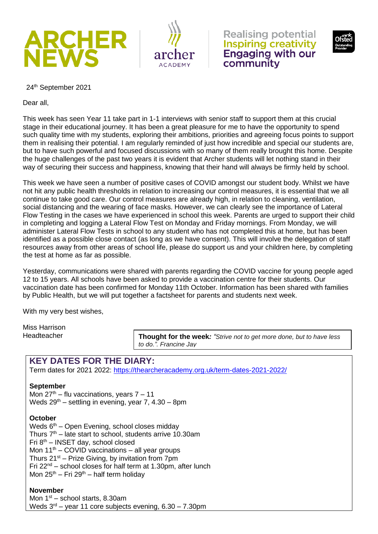







24<sup>th</sup> September 2021

Dear all,

This week has seen Year 11 take part in 1-1 interviews with senior staff to support them at this crucial stage in their educational journey. It has been a great pleasure for me to have the opportunity to spend such quality time with my students, exploring their ambitions, priorities and agreeing focus points to support them in realising their potential. I am regularly reminded of just how incredible and special our students are, but to have such powerful and focused discussions with so many of them really brought this home. Despite the huge challenges of the past two years it is evident that Archer students will let nothing stand in their way of securing their success and happiness, knowing that their hand will always be firmly held by school.

This week we have seen a number of positive cases of COVID amongst our student body. Whilst we have not hit any public health thresholds in relation to increasing our control measures, it is essential that we all continue to take good care. Our control measures are already high, in relation to cleaning, ventilation, social distancing and the wearing of face masks. However, we can clearly see the importance of Lateral Flow Testing in the cases we have experienced in school this week. Parents are urged to support their child in completing and logging a Lateral Flow Test on Monday and Friday mornings. From Monday, we will administer Lateral Flow Tests in school to any student who has not completed this at home, but has been identified as a possible close contact (as long as we have consent). This will involve the delegation of staff resources away from other areas of school life, please do support us and your children here, by completing the test at home as far as possible.

Yesterday, communications were shared with parents regarding the COVID vaccine for young people aged 12 to 15 years. All schools have been asked to provide a vaccination centre for their students. Our vaccination date has been confirmed for Monday 11th October. Information has been shared with families by Public Health, but we will put together a factsheet for parents and students next week.

With my very best wishes,

Miss Harrison Headteacher

**Thought for the week***: "Strive not to get more done, but to have less to do.". Francine Jay*

# **KEY DATES FOR THE DIARY:**

Term dates for 2021 2022:<https://thearcheracademy.org.uk/term-dates-2021-2022/>

#### **September**

Mon  $27<sup>th</sup>$  – flu vaccinations, years  $7 - 11$ Weds  $29<sup>th</sup>$  – settling in evening, year 7, 4.30 – 8pm

#### **October**

Weds  $6<sup>th</sup>$  – Open Evening, school closes midday Thurs  $7<sup>th</sup>$  – late start to school, students arrive 10.30am Fri 8th – INSET day, school closed Mon  $11<sup>th</sup>$  – COVID vaccinations – all year groups Thurs  $21^{st}$  – Prize Giving, by invitation from 7pm Fri  $22^{nd}$  – school closes for half term at 1.30pm, after lunch Mon  $25<sup>th</sup>$  – Fri  $29<sup>th</sup>$  – half term holiday

# **November**

Mon  $1<sup>st</sup>$  – school starts, 8.30am Weds  $3<sup>rd</sup>$  – year 11 core subjects evening, 6.30 – 7.30pm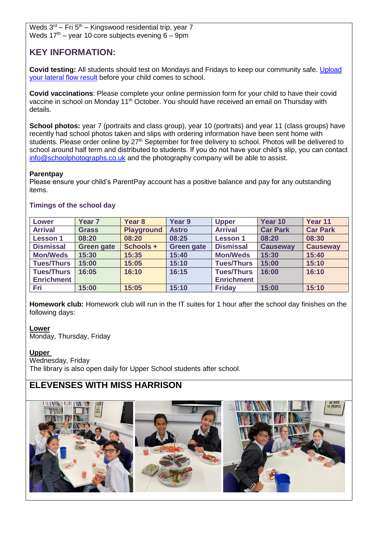Weds  $3<sup>rd</sup>$  – Fri  $5<sup>th</sup>$  – Kingswood residential trip, year 7 Weds  $17<sup>th</sup>$  – year 10 core subjects evening 6 – 9pm

# **KEY INFORMATION:**

**Covid testing:** All students should test on Mondays and Fridays to keep our community safe. [Upload](https://forms.office.com/r/smZTBhkxXm)  [your lateral flow result](https://forms.office.com/r/smZTBhkxXm) before your child comes to school.

**Covid vaccinations**: Please complete your online permission form for your child to have their covid vaccine in school on Monday 11<sup>th</sup> October. You should have received an email on Thursday with details.

**School photos:** year 7 (portraits and class group), year 10 (portraits) and year 11 (class groups) have recently had school photos taken and slips with ordering information have been sent home with students. Please order online by 27<sup>th</sup> September for free delivery to school. Photos will be delivered to school around half term and distributed to students. If you do not have your child's slip, you can contact [info@schoolphotographs.co.uk](mailto:info@schoolphotographs.co.uk) and the photography company will be able to assist.

### **Parentpay**

Please ensure your child's ParentPay account has a positive balance and pay for any outstanding items.

| <b>Lower</b>      | Year <sub>7</sub> | Year <sub>8</sub> | Year 9            | <b>Upper</b>      | Year 10         | Year 11         |
|-------------------|-------------------|-------------------|-------------------|-------------------|-----------------|-----------------|
| <b>Arrival</b>    | <b>Grass</b>      | <b>Playground</b> | <b>Astro</b>      | <b>Arrival</b>    | <b>Car Park</b> | <b>Car Park</b> |
| <b>Lesson 1</b>   | 08:20             | 08:20             | 08:25             | <b>Lesson 1</b>   | 08:20           | 08:30           |
| <b>Dismissal</b>  | <b>Green gate</b> | Schools +         | <b>Green gate</b> | <b>Dismissal</b>  | <b>Causeway</b> | <b>Causeway</b> |
| <b>Mon/Weds</b>   | 15:30             | 15:35             | 15:40             | <b>Mon/Weds</b>   | 15:30           | 15:40           |
| <b>Tues/Thurs</b> | 15:00             | 15:05             | 15:10             | <b>Tues/Thurs</b> | 15:00           | 15:10           |
| <b>Tues/Thurs</b> | 16:05             | 16:10             | 16:15             | <b>Tues/Thurs</b> | 16:00           | 16:10           |
| <b>Enrichment</b> |                   |                   |                   | <b>Enrichment</b> |                 |                 |
| Fri               | 15:00             | 15:05             | 15:10             | <b>Friday</b>     | 15:00           | 15:10           |

#### **Timings of the school day**

**Homework club:** Homework club will run in the IT suites for 1 hour after the school day finishes on the following days:

**Lower** Monday, Thursday, Friday

# **Upper**

Wednesday, Friday The library is also open daily for Upper School students after school.

# **ELEVENSES WITH MISS HARRISON**

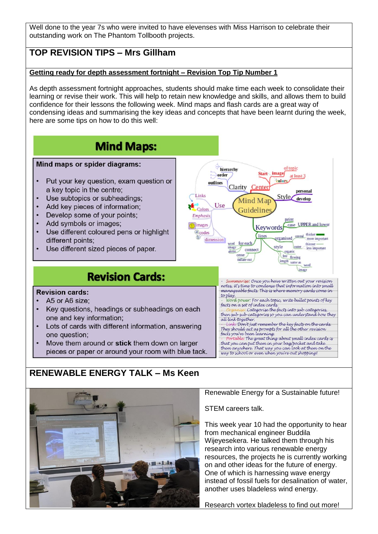Well done to the year 7s who were invited to have elevenses with Miss Harrison to celebrate their outstanding work on The Phantom Tollbooth projects.

# **TOP REVISION TIPS – Mrs Gillham**

### **Getting ready for depth assessment fortnight – Revision Top Tip Number 1**

As depth assessment fortnight approaches, students should make time each week to consolidate their learning or revise their work. This will help to retain new knowledge and skills, and allows them to build confidence for their lessons the following week. Mind maps and flash cards are a great way of condensing ideas and summarising the key ideas and concepts that have been learnt during the week, here are some tips on how to do this well:





#### Renewable Energy for a Sustainable future!

STEM careers talk.

This week year 10 had the opportunity to hear from mechanical engineer Buddila Wijeyesekera. He talked them through his research into various renewable energy resources, the projects he is currently working on and other ideas for the future of energy. One of which is harnessing wave energy instead of fossil fuels for desalination of water, another uses bladeless wind energy.

Research vortex bladeless to find out more!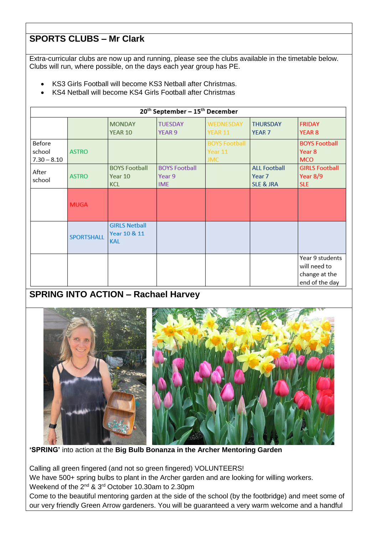# **SPORTS CLUBS – Mr Clark**

Extra-curricular clubs are now up and running, please see the clubs available in the timetable below. Clubs will run, where possible, on the days each year group has PE.

- KS3 Girls Football will become KS3 Netball after Christmas.
- KS4 Netball will become KS4 Girls Football after Christmas

| 20 <sup>th</sup> September - 15 <sup>th</sup> December |                   |                                                    |                                              |                                               |                                                       |                                                                    |  |  |  |  |
|--------------------------------------------------------|-------------------|----------------------------------------------------|----------------------------------------------|-----------------------------------------------|-------------------------------------------------------|--------------------------------------------------------------------|--|--|--|--|
|                                                        |                   | <b>MONDAY</b><br>YEAR 10                           | <b>TUESDAY</b><br>YEAR 9                     | WEDNESDAY<br><b>YEAR 11</b>                   | <b>THURSDAY</b><br>YEAR <sub>7</sub>                  | <b>FRIDAY</b><br><b>YEAR 8</b>                                     |  |  |  |  |
| Before<br>school<br>$7.30 - 8.10$                      | <b>ASTRO</b>      |                                                    |                                              | <b>BOYS Football</b><br>Year 11<br><b>JMC</b> |                                                       | <b>BOYS Football</b><br>Year <sub>8</sub><br><b>MCO</b>            |  |  |  |  |
| After<br>school                                        | <b>ASTRO</b>      | <b>BOYS Football</b><br>Year 10<br><b>KCL</b>      | <b>BOYS Football</b><br>Year 9<br><b>IME</b> |                                               | <b>ALL Football</b><br>Year 7<br><b>SLE &amp; JRA</b> | <b>GIRLS Football</b><br>Year $8/9$<br><b>SLE</b>                  |  |  |  |  |
|                                                        | <b>MUGA</b>       |                                                    |                                              |                                               |                                                       |                                                                    |  |  |  |  |
|                                                        | <b>SPORTSHALL</b> | <b>GIRLS Netball</b><br>Year 10 & 11<br><b>KAL</b> |                                              |                                               |                                                       |                                                                    |  |  |  |  |
|                                                        |                   |                                                    |                                              |                                               |                                                       | Year 9 students<br>will need to<br>change at the<br>end of the day |  |  |  |  |

# **SPRING INTO ACTION – Rachael Harvey**



**'SPRING'** into action at the **Big Bulb Bonanza in the Archer Mentoring Garden**

Calling all green fingered (and not so green fingered) VOLUNTEERS!

We have 500+ spring bulbs to plant in the Archer garden and are looking for willing workers. Weekend of the 2<sup>nd</sup> & 3<sup>rd</sup> October 10.30am to 2.30pm

Come to the beautiful mentoring garden at the side of the school (by the footbridge) and meet some of our very friendly Green Arrow gardeners. You will be guaranteed a very warm welcome and a handful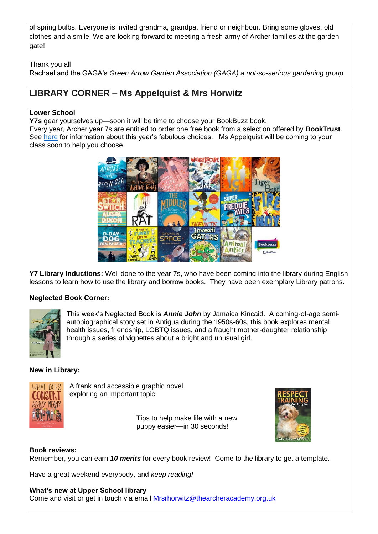of spring bulbs. Everyone is invited grandma, grandpa, friend or neighbour. Bring some gloves, old clothes and a smile. We are looking forward to meeting a fresh army of Archer families at the garden gate!

Thank you all Rachael and the GAGA's *Green Arrow Garden Association (GAGA) a not-so-serious gardening group*

# **LIBRARY CORNER – Ms Appelquist & Mrs Horwitz**

# **Lower School**

**Y7s** gear yourselves up—soon it will be time to choose your BookBuzz book.

Every year, Archer year 7s are entitled to order one free book from a selection offered by **BookTrust**. See [here](https://www.booktrust.org.uk/what-we-do/programmes-and-campaigns/bookbuzz/students/bookbuzz-books/) for information about this year's fabulous choices. Ms Appelquist will be coming to your class soon to help you choose.



**Y7 Library Inductions:** Well done to the year 7s, who have been coming into the library during English lessons to learn how to use the library and borrow books. They have been exemplary Library patrons.

# **Neglected Book Corner:**



This week's Neglected Book is *Annie John* by Jamaica Kincaid. A coming-of-age semiautobiographical story set in Antigua during the 1950s-60s, this book explores mental health issues, friendship, LGBTQ issues, and a fraught mother-daughter relationship through a series of vignettes about a bright and unusual girl.

# **New in Library:**



A frank and accessible graphic novel exploring an important topic.

> Tips to help make life with a new puppy easier—in 30 seconds!



# **Book reviews:**

Remember, you can earn *10 merits* for every book review! Come to the library to get a template.

Have a great weekend everybody, and *keep reading!*

**What's new at Upper School library** Come and visit or get in touch via email [Mrsrhorwitz@thearcheracademy.org.uk](mailto:Mrsrhorwitz@thearcheracademy.org.uk)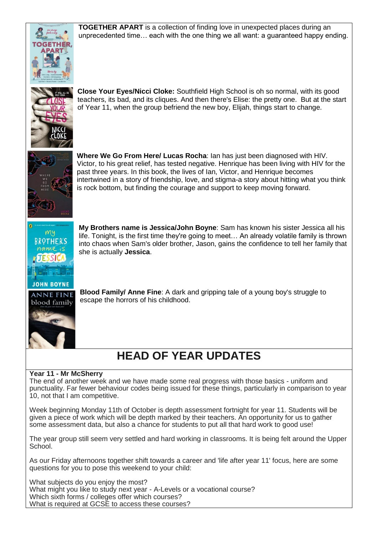

**TOGETHER APART** is a collection of finding love in unexpected places during an unprecedented time… each with the one thing we all want: a guaranteed happy ending.



**Close Your Eyes/Nicci Cloke:** Southfield High School is oh so normal, with its good teachers, its bad, and its cliques. And then there's Elise: the pretty one. But at the start of Year 11, when the group befriend the new boy, Elijah, things start to change.



**Where We Go From Here/ Lucas Rocha**: Ian has just been diagnosed with HIV. Victor, to his great relief, has tested negative. Henrique has been living with HIV for the past three years. In this book, the lives of Ian, Victor, and Henrique becomes intertwined in a story of friendship, love, and stigma-a story about hitting what you think is rock bottom, but finding the courage and support to keep moving forward.



**My Brothers name is Jessica/John Boyne**: Sam has known his sister Jessica all his life. Tonight, is the first time they're going to meet… An already volatile family is thrown into chaos when Sam's older brother, Jason, gains the confidence to tell her family that she is actually **Jessica**.

**Blood Family/ Anne Fine**: A dark and gripping tale of a young boy's struggle to escape the horrors of his childhood.

# **HEAD OF YEAR UPDATES**

# **Year 11 - Mr McSherry**

The end of another week and we have made some real progress with those basics - uniform and punctuality. Far fewer behaviour codes being issued for these things, particularly in comparison to year 10, not that I am competitive.

Week beginning Monday 11th of October is depth assessment fortnight for year 11. Students will be given a piece of work which will be depth marked by their teachers. An opportunity for us to gather some assessment data, but also a chance for students to put all that hard work to good use!

The year group still seem very settled and hard working in classrooms. It is being felt around the Upper School.

As our Friday afternoons together shift towards a career and 'life after year 11' focus, here are some questions for you to pose this weekend to your child:

What subjects do you enjoy the most? What might you like to study next year - A-Levels or a vocational course? Which sixth forms / colleges offer which courses? What is required at GCSE to access these courses?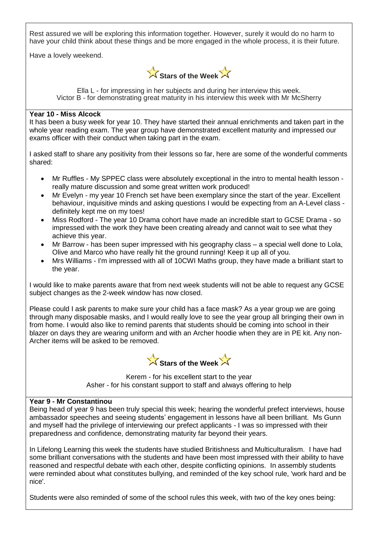Rest assured we will be exploring this information together. However, surely it would do no harm to have your child think about these things and be more engaged in the whole process, it is their future.

Have a lovely weekend.



Ella L - for impressing in her subjects and during her interview this week. Victor B - for demonstrating great maturity in his interview this week with Mr McSherry

#### **Year 10 - Miss Alcock**

It has been a busy week for year 10. They have started their annual enrichments and taken part in the whole year reading exam. The year group have demonstrated excellent maturity and impressed our exams officer with their conduct when taking part in the exam.

I asked staff to share any positivity from their lessons so far, here are some of the wonderful comments shared:

- Mr Ruffles My SPPEC class were absolutely exceptional in the intro to mental health lesson really mature discussion and some great written work produced!
- Mr Evelyn my year 10 French set have been exemplary since the start of the year. Excellent behaviour, inquisitive minds and asking questions I would be expecting from an A-Level class definitely kept me on my toes!
- Miss Rodford The year 10 Drama cohort have made an incredible start to GCSE Drama so impressed with the work they have been creating already and cannot wait to see what they achieve this year.
- Mr Barrow has been super impressed with his geography class a special well done to Lola, Olive and Marco who have really hit the ground running! Keep it up all of you.
- Mrs Williams I'm impressed with all of 10CWI Maths group, they have made a brilliant start to the year.

I would like to make parents aware that from next week students will not be able to request any GCSE subject changes as the 2-week window has now closed.

Please could I ask parents to make sure your child has a face mask? As a year group we are going through many disposable masks, and I would really love to see the year group all bringing their own in from home. I would also like to remind parents that students should be coming into school in their blazer on days they are wearing uniform and with an Archer hoodie when they are in PE kit. Any non-Archer items will be asked to be removed.



Kerem - for his excellent start to the year Asher - for his constant support to staff and always offering to help

#### **Year 9 - Mr Constantinou**

Being head of year 9 has been truly special this week; hearing the wonderful prefect interviews, house ambassador speeches and seeing students' engagement in lessons have all been brilliant. Ms Gunn and myself had the privilege of interviewing our prefect applicants - I was so impressed with their preparedness and confidence, demonstrating maturity far beyond their years.

In Lifelong Learning this week the students have studied Britishness and Multiculturalism. I have had some brilliant conversations with the students and have been most impressed with their ability to have reasoned and respectful debate with each other, despite conflicting opinions. In assembly students were reminded about what constitutes bullying, and reminded of the key school rule, 'work hard and be nice'.

Students were also reminded of some of the school rules this week, with two of the key ones being: